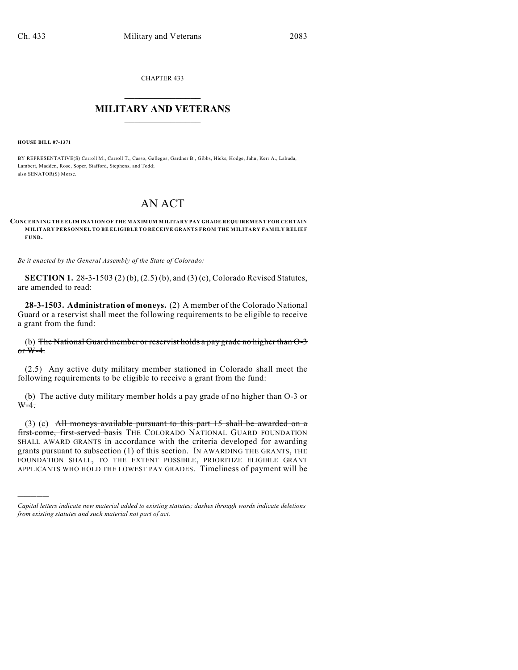CHAPTER 433

## $\mathcal{L}_\text{max}$  . The set of the set of the set of the set of the set of the set of the set of the set of the set of the set of the set of the set of the set of the set of the set of the set of the set of the set of the set **MILITARY AND VETERANS**  $\frac{1}{2}$  ,  $\frac{1}{2}$  ,  $\frac{1}{2}$  ,  $\frac{1}{2}$  ,  $\frac{1}{2}$  ,  $\frac{1}{2}$  ,  $\frac{1}{2}$

**HOUSE BILL 07-1371**

)))))

BY REPRESENTATIVE(S) Carroll M., Carroll T., Casso, Gallegos, Gardner B., Gibbs, Hicks, Hodge, Jahn, Kerr A., Labuda, Lambert, Madden, Rose, Soper, Stafford, Stephens, and Todd; also SENATOR(S) Morse.

## AN ACT

## **CONCERNING THE ELIMINATION OF THE MAXIMUM MILITARY PAY GRADE REQUIREMENT FOR CERTAIN MILITARY PERSONNEL TO BE ELIGIBLE TO RECEIVE GRANTS FROM THE MILITARY FAMILY RELIEF FUND.**

*Be it enacted by the General Assembly of the State of Colorado:*

**SECTION 1.** 28-3-1503 (2) (b), (2.5) (b), and (3) (c), Colorado Revised Statutes, are amended to read:

**28-3-1503. Administration of moneys.** (2) A member of the Colorado National Guard or a reservist shall meet the following requirements to be eligible to receive a grant from the fund:

(b) The National Guard member or reservist holds a pay grade no higher than O-3 or  $W-4$ .

(2.5) Any active duty military member stationed in Colorado shall meet the following requirements to be eligible to receive a grant from the fund:

(b) The active duty military member holds a pay grade of no higher than O-3 or  $W-4$ .

(3) (c) All moneys available pursuant to this part 15 shall be awarded on a first-come, first-served basis THE COLORADO NATIONAL GUARD FOUNDATION SHALL AWARD GRANTS in accordance with the criteria developed for awarding grants pursuant to subsection (1) of this section. IN AWARDING THE GRANTS, THE FOUNDATION SHALL, TO THE EXTENT POSSIBLE, PRIORITIZE ELIGIBLE GRANT APPLICANTS WHO HOLD THE LOWEST PAY GRADES. Timeliness of payment will be

*Capital letters indicate new material added to existing statutes; dashes through words indicate deletions from existing statutes and such material not part of act.*